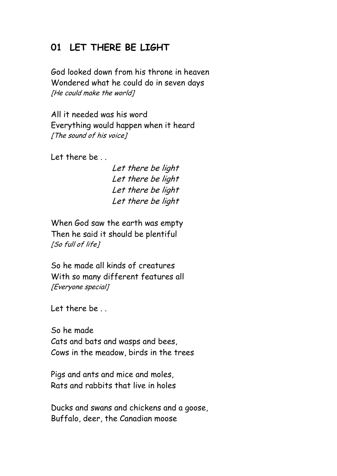## **01 LET THERE BE LIGHT**

God looked down from his throne in heaven Wondered what he could do in seven days [He could make the world]

All it needed was his word Everything would happen when it heard [The sound of his voice]

Let there be

Let there be light Let there be light Let there be light Let there be light

When God saw the earth was empty Then he said it should be plentiful [So full of life]

So he made all kinds of creatures With so many different features all [Everyone special]

Let there be

So he made Cats and bats and wasps and bees, Cows in the meadow, birds in the trees

Pigs and ants and mice and moles, Rats and rabbits that live in holes

Ducks and swans and chickens and a goose, Buffalo, deer, the Canadian moose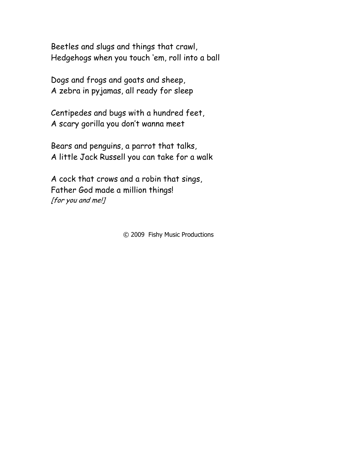Beetles and slugs and things that crawl, Hedgehogs when you touch "em, roll into a ball

Dogs and frogs and goats and sheep, A zebra in pyjamas, all ready for sleep

Centipedes and bugs with a hundred feet, A scary gorilla you don"t wanna meet

Bears and penguins, a parrot that talks, A little Jack Russell you can take for a walk

A cock that crows and a robin that sings, Father God made a million things! [for you and me!]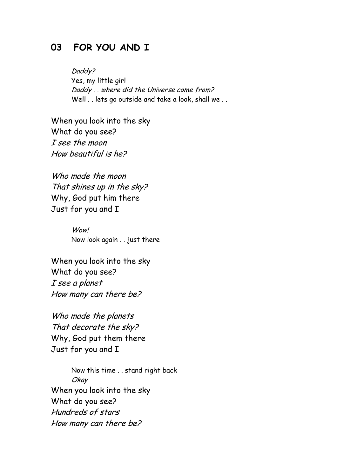#### **03 FOR YOU AND I**

Daddy? Yes, my little girl Daddy . . where did the Universe come from? Well . . lets go outside and take a look, shall we . .

When you look into the sky What do you see? I see the moon How beautiful is he?

Who made the moon That shines up in the sky? Why, God put him there Just for you and I

> Wow! Now look again . . just there

When you look into the sky What do you see? I see a planet How many can there be?

Who made the planets That decorate the sky? Why, God put them there Just for you and I

Now this time . . stand right back Okay When you look into the sky What do you see? Hundreds of stars How many can there be?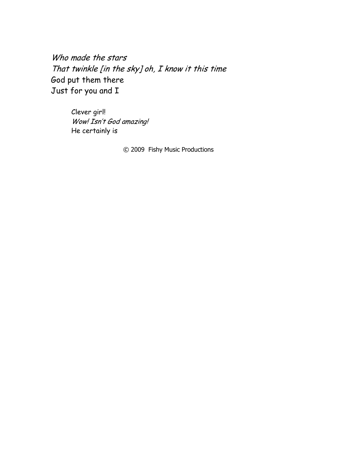Who made the stars That twinkle [in the sky] oh, I know it this time God put them there Just for you and I

> Clever girl! Wow! Isn't God amazing! He certainly is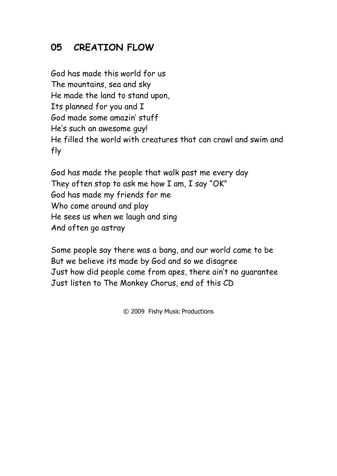# **05 CREATION FLOW**

God has made this world for us The mountains, sea and sky He made the land to stand upon, Its planned for you and I God made some amazin" stuff He's such an awesome guy! He filled the world with creatures that can crawl and swim and fly

God has made the people that walk past me every day They often stop to ask me how I am, I say "OK" God has made my friends for me Who come around and play He sees us when we laugh and sing And often go astray

Some people say there was a bang, and our world came to be But we believe its made by God and so we disagree Just how did people come from apes, there ain"t no guarantee Just listen to The Monkey Chorus, end of this CD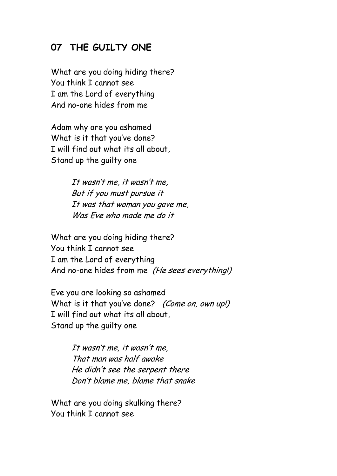## **07 THE GUILTY ONE**

What are you doing hiding there? You think I cannot see I am the Lord of everything And no-one hides from me

Adam why are you ashamed What is it that you've done? I will find out what its all about, Stand up the guilty one

> It wasn"t me, it wasn"t me, But if you must pursue it It was that woman you gave me, Was Eve who made me do it

What are you doing hiding there? You think I cannot see I am the Lord of everything And no-one hides from me (He sees everything!)

Eve you are looking so ashamed What is it that you've done? (Come on, own up!) I will find out what its all about, Stand up the guilty one

> It wasn"t me, it wasn"t me, That man was half awake He didn"t see the serpent there Don"t blame me, blame that snake

What are you doing skulking there? You think I cannot see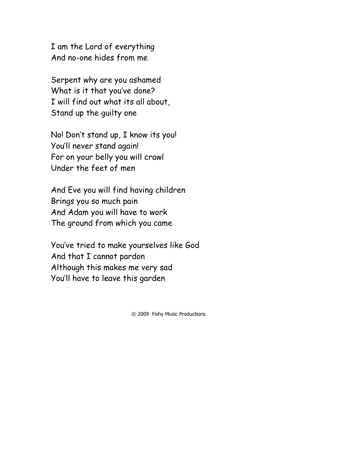I am the Lord of everything And no-one hides from me

Serpent why are you ashamed What is it that you've done? I will find out what its all about, Stand up the guilty one

No! Don"t stand up, I know its you! You"ll never stand again! For on your belly you will crawl Under the feet of men

And Eve you will find having children Brings you so much pain And Adam you will have to work The ground from which you came

You"ve tried to make yourselves like God And that I cannot pardon Although this makes me very sad You"ll have to leave this garden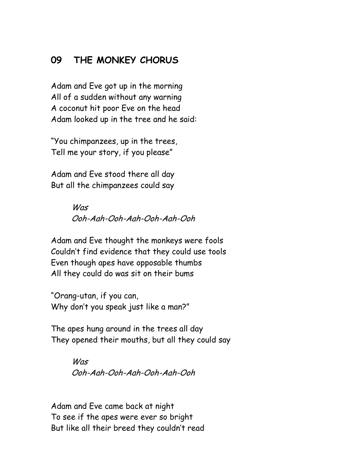### **09 THE MONKEY CHORUS**

Adam and Eve got up in the morning All of a sudden without any warning A coconut hit poor Eve on the head Adam looked up in the tree and he said:

"You chimpanzees, up in the trees, Tell me your story, if you please"

Adam and Eve stood there all day But all the chimpanzees could say

> Was Ooh-Aah-Ooh-Aah-Ooh-Aah-Ooh

Adam and Eve thought the monkeys were fools Couldn"t find evidence that they could use tools Even though apes have opposable thumbs All they could do was sit on their bums

"Orang-utan, if you can, Why don"t you speak just like a man?"

The apes hung around in the trees all day They opened their mouths, but all they could say

> **Was** Ooh-Aah-Ooh-Aah-Ooh-Aah-Ooh

Adam and Eve came back at night To see if the apes were ever so bright But like all their breed they couldn"t read